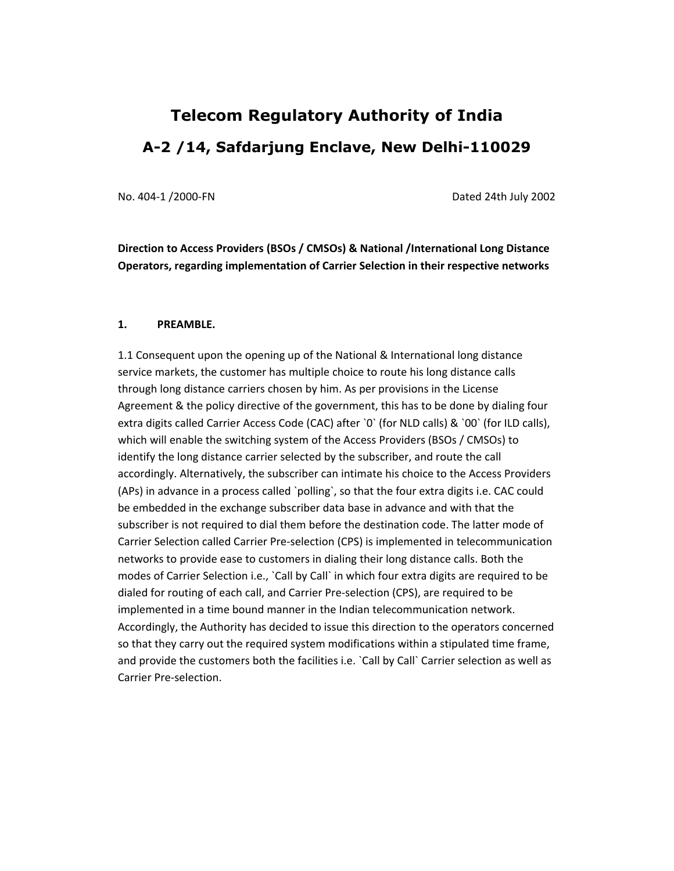# **Telecom Regulatory Authority of India A-2 /14, Safdarjung Enclave, New Delhi-110029**

No. 404‐1 /2000‐FN Dated 24th July 2002

**Direction to Access Providers (BSOs / CMSOs) & National /International Long Distance Operators, regarding implementation of Carrier Selection in their respective networks**

### **1. PREAMBLE.**

1.1 Consequent upon the opening up of the National & International long distance service markets, the customer has multiple choice to route his long distance calls through long distance carriers chosen by him. As per provisions in the License Agreement & the policy directive of the government, this has to be done by dialing four extra digits called Carrier Access Code (CAC) after `0` (for NLD calls) & `00` (for ILD calls), which will enable the switching system of the Access Providers (BSOs / CMSOs) to identify the long distance carrier selected by the subscriber, and route the call accordingly. Alternatively, the subscriber can intimate his choice to the Access Providers (APs) in advance in a process called `polling`, so that the four extra digits i.e. CAC could be embedded in the exchange subscriber data base in advance and with that the subscriber is not required to dial them before the destination code. The latter mode of Carrier Selection called Carrier Pre‐selection (CPS) is implemented in telecommunication networks to provide ease to customers in dialing their long distance calls. Both the modes of Carrier Selection i.e., `Call by Call` in which four extra digits are required to be dialed for routing of each call, and Carrier Pre‐selection (CPS), are required to be implemented in a time bound manner in the Indian telecommunication network. Accordingly, the Authority has decided to issue this direction to the operators concerned so that they carry out the required system modifications within a stipulated time frame, and provide the customers both the facilities i.e. `Call by Call` Carrier selection as well as Carrier Pre‐selection.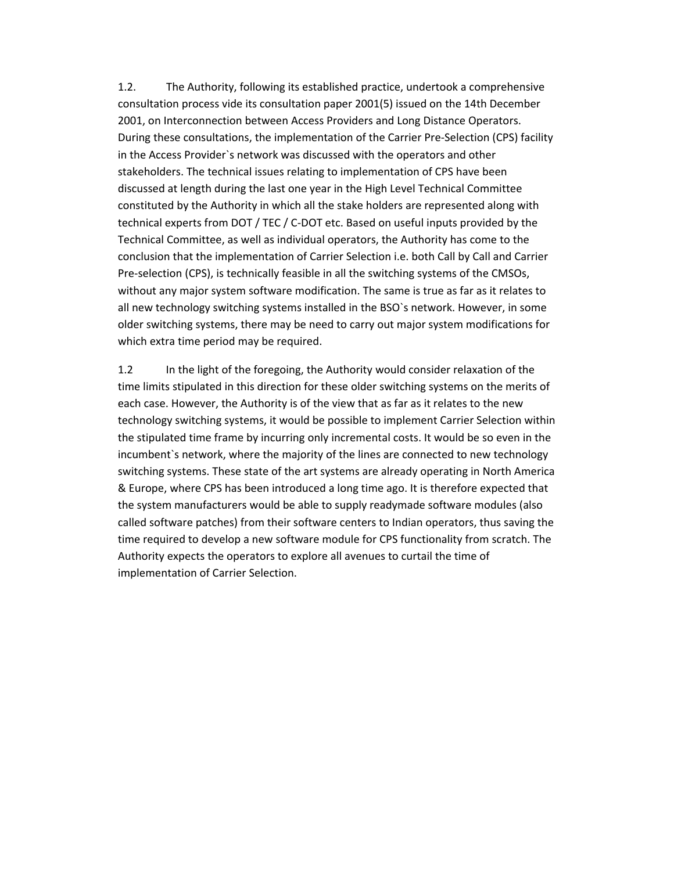1.2.The Authority, following its established practice, undertook a comprehensive consultation process vide its consultation paper 2001(5) issued on the 14th December 2001, on Interconnection between Access Providers and Long Distance Operators. During these consultations, the implementation of the Carrier Pre‐Selection (CPS) facility in the Access Provider`s network was discussed with the operators and other stakeholders. The technical issues relating to implementation of CPS have been discussed at length during the last one year in the High Level Technical Committee constituted by the Authority in which all the stake holders are represented along with technical experts from DOT / TEC / C‐DOT etc. Based on useful inputs provided by the Technical Committee, as well as individual operators, the Authority has come to the conclusion that the implementation of Carrier Selection i.e. both Call by Call and Carrier Pre-selection (CPS), is technically feasible in all the switching systems of the CMSOs, without any major system software modification. The same is true as far as it relates to all new technology switching systems installed in the BSO`s network. However, in some older switching systems, there may be need to carry out major system modifications for which extra time period may be required.

1.2 In the light of the foregoing, the Authority would consider relaxation of the time limits stipulated in this direction for these older switching systems on the merits of each case. However, the Authority is of the view that as far as it relates to the new technology switching systems, it would be possible to implement Carrier Selection within the stipulated time frame by incurring only incremental costs. It would be so even in the incumbent`s network, where the majority of the lines are connected to new technology switching systems. These state of the art systems are already operating in North America & Europe, where CPS has been introduced a long time ago. It is therefore expected that the system manufacturers would be able to supply readymade software modules (also called software patches) from their software centers to Indian operators, thus saving the time required to develop a new software module for CPS functionality from scratch. The Authority expects the operators to explore all avenues to curtail the time of implementation of Carrier Selection.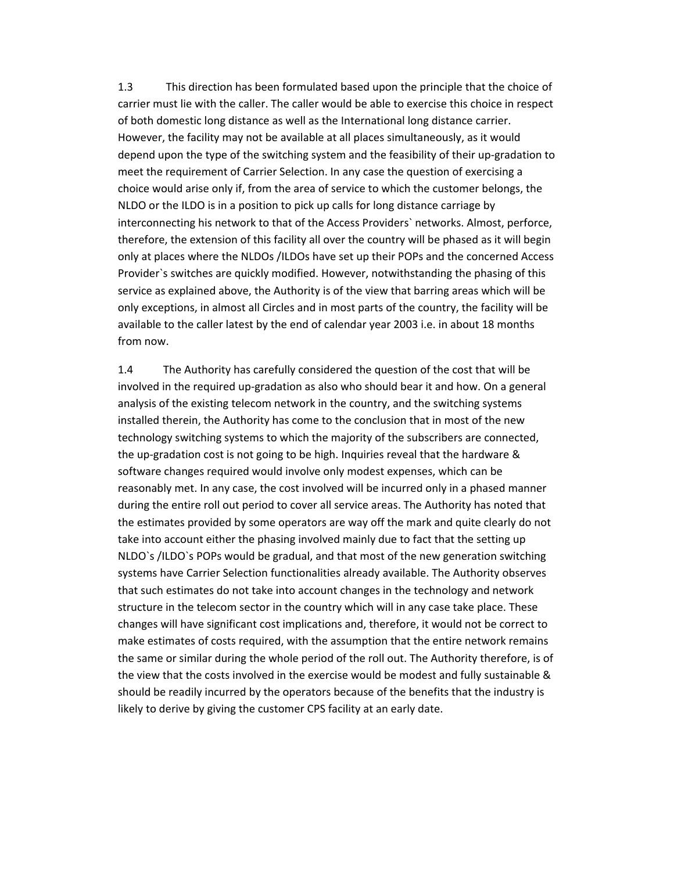1.3 This direction has been formulated based upon the principle that the choice of carrier must lie with the caller. The caller would be able to exercise this choice in respect of both domestic long distance as well as the International long distance carrier. However, the facility may not be available at all places simultaneously, as it would depend upon the type of the switching system and the feasibility of their up‐gradation to meet the requirement of Carrier Selection. In any case the question of exercising a choice would arise only if, from the area of service to which the customer belongs, the NLDO or the ILDO is in a position to pick up calls for long distance carriage by interconnecting his network to that of the Access Providers` networks. Almost, perforce, therefore, the extension of this facility all over the country will be phased as it will begin only at places where the NLDOs /ILDOs have set up their POPs and the concerned Access Provider`s switches are quickly modified. However, notwithstanding the phasing of this service as explained above, the Authority is of the view that barring areas which will be only exceptions, in almost all Circles and in most parts of the country, the facility will be available to the caller latest by the end of calendar year 2003 i.e. in about 18 months from now.

1.4The Authority has carefully considered the question of the cost that will be involved in the required up‐gradation as also who should bear it and how. On a general analysis of the existing telecom network in the country, and the switching systems installed therein, the Authority has come to the conclusion that in most of the new technology switching systems to which the majority of the subscribers are connected, the up-gradation cost is not going to be high. Inquiries reveal that the hardware & software changes required would involve only modest expenses, which can be reasonably met. In any case, the cost involved will be incurred only in a phased manner during the entire roll out period to cover all service areas. The Authority has noted that the estimates provided by some operators are way off the mark and quite clearly do not take into account either the phasing involved mainly due to fact that the setting up NLDO`s /ILDO`s POPs would be gradual, and that most of the new generation switching systems have Carrier Selection functionalities already available. The Authority observes that such estimates do not take into account changes in the technology and network structure in the telecom sector in the country which will in any case take place. These changes will have significant cost implications and, therefore, it would not be correct to make estimates of costs required, with the assumption that the entire network remains the same or similar during the whole period of the roll out. The Authority therefore, is of the view that the costs involved in the exercise would be modest and fully sustainable & should be readily incurred by the operators because of the benefits that the industry is likely to derive by giving the customer CPS facility at an early date.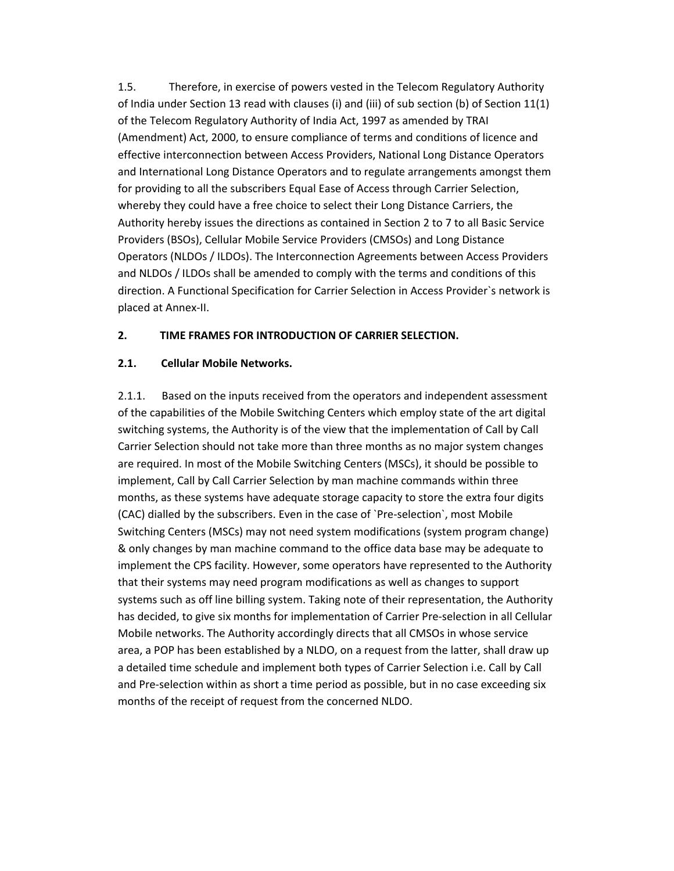1.5. Therefore, in exercise of powers vested in the Telecom Regulatory Authority of India under Section 13 read with clauses (i) and (iii) of sub section (b) of Section 11(1) of the Telecom Regulatory Authority of India Act, 1997 as amended by TRAI (Amendment) Act, 2000, to ensure compliance of terms and conditions of licence and effective interconnection between Access Providers, National Long Distance Operators and International Long Distance Operators and to regulate arrangements amongst them for providing to all the subscribers Equal Ease of Access through Carrier Selection, whereby they could have a free choice to select their Long Distance Carriers, the Authority hereby issues the directions as contained in Section 2 to 7 to all Basic Service Providers (BSOs), Cellular Mobile Service Providers (CMSOs) and Long Distance Operators (NLDOs / ILDOs). The Interconnection Agreements between Access Providers and NLDOs / ILDOs shall be amended to comply with the terms and conditions of this direction. A Functional Specification for Carrier Selection in Access Provider`s network is placed at Annex‐II.

# **2. TIME FRAMES FOR INTRODUCTION OF CARRIER SELECTION.**

# **2.1. Cellular Mobile Networks.**

2.1.1. Based on the inputs received from the operators and independent assessment of the capabilities of the Mobile Switching Centers which employ state of the art digital switching systems, the Authority is of the view that the implementation of Call by Call Carrier Selection should not take more than three months as no major system changes are required. In most of the Mobile Switching Centers (MSCs), it should be possible to implement, Call by Call Carrier Selection by man machine commands within three months, as these systems have adequate storage capacity to store the extra four digits (CAC) dialled by the subscribers. Even in the case of `Pre‐selection`, most Mobile Switching Centers (MSCs) may not need system modifications (system program change) & only changes by man machine command to the office data base may be adequate to implement the CPS facility. However, some operators have represented to the Authority that their systems may need program modifications as well as changes to support systems such as off line billing system. Taking note of their representation, the Authority has decided, to give six months for implementation of Carrier Pre-selection in all Cellular Mobile networks. The Authority accordingly directs that all CMSOs in whose service area, a POP has been established by a NLDO, on a request from the latter, shall draw up a detailed time schedule and implement both types of Carrier Selection i.e. Call by Call and Pre‐selection within as short a time period as possible, but in no case exceeding six months of the receipt of request from the concerned NLDO.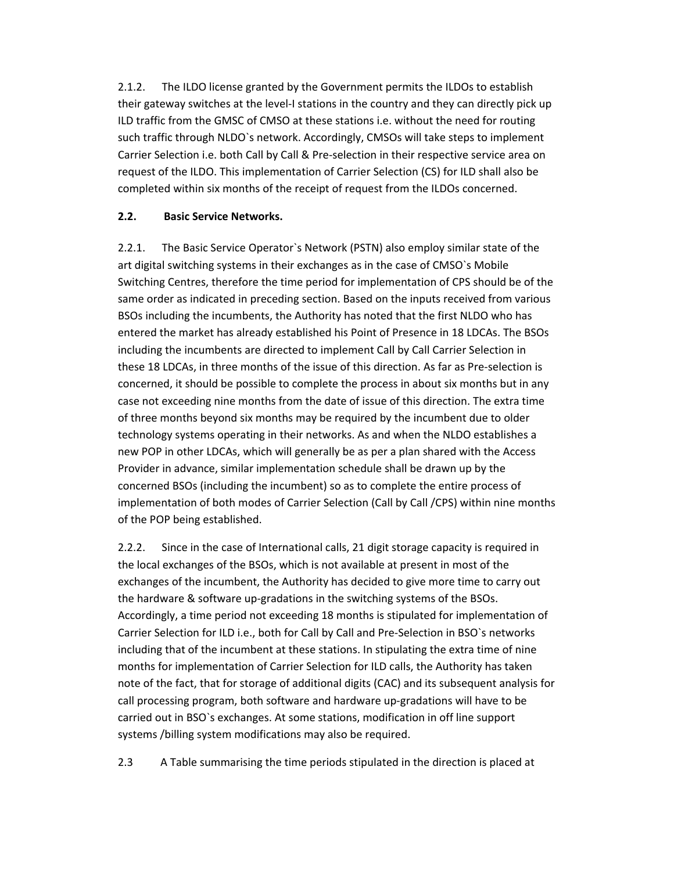2.1.2. The ILDO license granted by the Government permits the ILDOs to establish their gateway switches at the level‐I stations in the country and they can directly pick up ILD traffic from the GMSC of CMSO at these stations i.e. without the need for routing such traffic through NLDO`s network. Accordingly, CMSOs will take steps to implement Carrier Selection i.e. both Call by Call & Pre‐selection in their respective service area on request of the ILDO. This implementation of Carrier Selection (CS) for ILD shall also be completed within six months of the receipt of request from the ILDOs concerned.

# **2.2. Basic Service Networks.**

2.2.1. The Basic Service Operator`s Network (PSTN) also employ similar state of the art digital switching systems in their exchanges as in the case of CMSO`s Mobile Switching Centres, therefore the time period for implementation of CPS should be of the same order as indicated in preceding section. Based on the inputs received from various BSOs including the incumbents, the Authority has noted that the first NLDO who has entered the market has already established his Point of Presence in 18 LDCAs. The BSOs including the incumbents are directed to implement Call by Call Carrier Selection in these 18 LDCAs, in three months of the issue of this direction. As far as Pre‐selection is concerned, it should be possible to complete the process in about six months but in any case not exceeding nine months from the date of issue of this direction. The extra time of three months beyond six months may be required by the incumbent due to older technology systems operating in their networks. As and when the NLDO establishes a new POP in other LDCAs, which will generally be as per a plan shared with the Access Provider in advance, similar implementation schedule shall be drawn up by the concerned BSOs (including the incumbent) so as to complete the entire process of implementation of both modes of Carrier Selection (Call by Call /CPS) within nine months of the POP being established.

2.2.2. Since in the case of International calls, 21 digit storage capacity is required in the local exchanges of the BSOs, which is not available at present in most of the exchanges of the incumbent, the Authority has decided to give more time to carry out the hardware & software up‐gradations in the switching systems of the BSOs. Accordingly, a time period not exceeding 18 months is stipulated for implementation of Carrier Selection for ILD i.e., both for Call by Call and Pre‐Selection in BSO`s networks including that of the incumbent at these stations. In stipulating the extra time of nine months for implementation of Carrier Selection for ILD calls, the Authority has taken note of the fact, that for storage of additional digits (CAC) and its subsequent analysis for call processing program, both software and hardware up‐gradations will have to be carried out in BSO`s exchanges. At some stations, modification in off line support systems /billing system modifications may also be required.

2.3  A Table summarising the time periods stipulated in the direction is placed at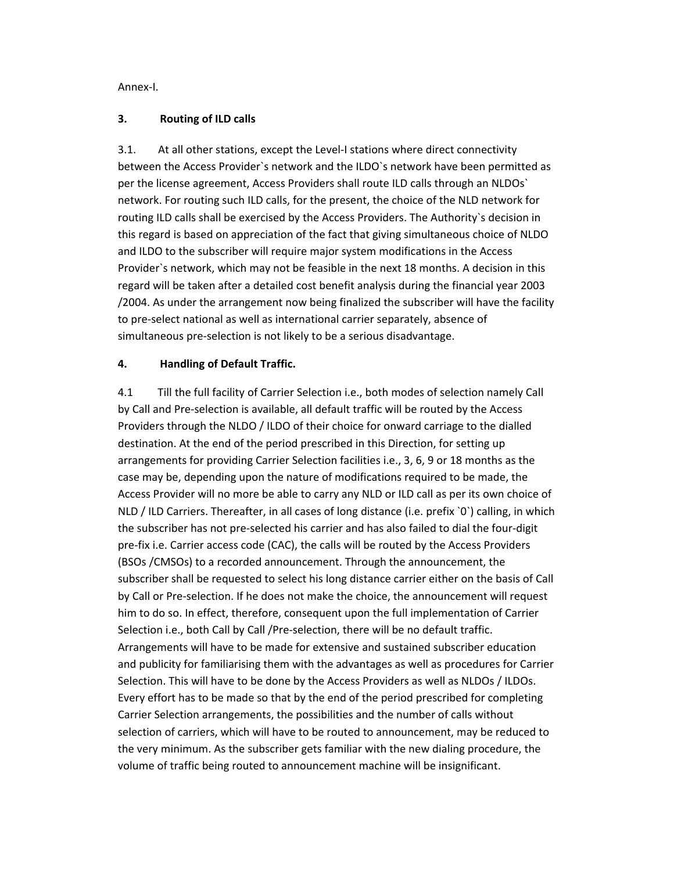Annex‐I.

# **3. Routing of ILD calls**

3.1.  At all other stations, except the Level‐I stations where direct connectivity between the Access Provider`s network and the ILDO`s network have been permitted as per the license agreement, Access Providers shall route ILD calls through an NLDOs` network. For routing such ILD calls, for the present, the choice of the NLD network for routing ILD calls shall be exercised by the Access Providers. The Authority`s decision in this regard is based on appreciation of the fact that giving simultaneous choice of NLDO and ILDO to the subscriber will require major system modifications in the Access Provider`s network, which may not be feasible in the next 18 months. A decision in this regard will be taken after a detailed cost benefit analysis during the financial year 2003 /2004. As under the arrangement now being finalized the subscriber will have the facility to pre‐select national as well as international carrier separately, absence of simultaneous pre‐selection is not likely to be a serious disadvantage.

# **4. Handling of Default Traffic.**

4.1 Till the full facility of Carrier Selection i.e., both modes of selection namely Call by Call and Pre‐selection is available, all default traffic will be routed by the Access Providers through the NLDO / ILDO of their choice for onward carriage to the dialled destination. At the end of the period prescribed in this Direction, for setting up arrangements for providing Carrier Selection facilities i.e., 3, 6, 9 or 18 months as the case may be, depending upon the nature of modifications required to be made, the Access Provider will no more be able to carry any NLD or ILD call as per its own choice of NLD / ILD Carriers. Thereafter, in all cases of long distance (i.e. prefix `0`) calling, in which the subscriber has not pre‐selected his carrier and has also failed to dial the four‐digit pre‐fix i.e. Carrier access code (CAC), the calls will be routed by the Access Providers (BSOs /CMSOs) to a recorded announcement. Through the announcement, the subscriber shall be requested to select his long distance carrier either on the basis of Call by Call or Pre‐selection. If he does not make the choice, the announcement will request him to do so. In effect, therefore, consequent upon the full implementation of Carrier Selection i.e., both Call by Call /Pre‐selection, there will be no default traffic. Arrangements will have to be made for extensive and sustained subscriber education and publicity for familiarising them with the advantages as well as procedures for Carrier Selection. This will have to be done by the Access Providers as well as NLDOs / ILDOs. Every effort has to be made so that by the end of the period prescribed for completing Carrier Selection arrangements, the possibilities and the number of calls without selection of carriers, which will have to be routed to announcement, may be reduced to the very minimum. As the subscriber gets familiar with the new dialing procedure, the volume of traffic being routed to announcement machine will be insignificant.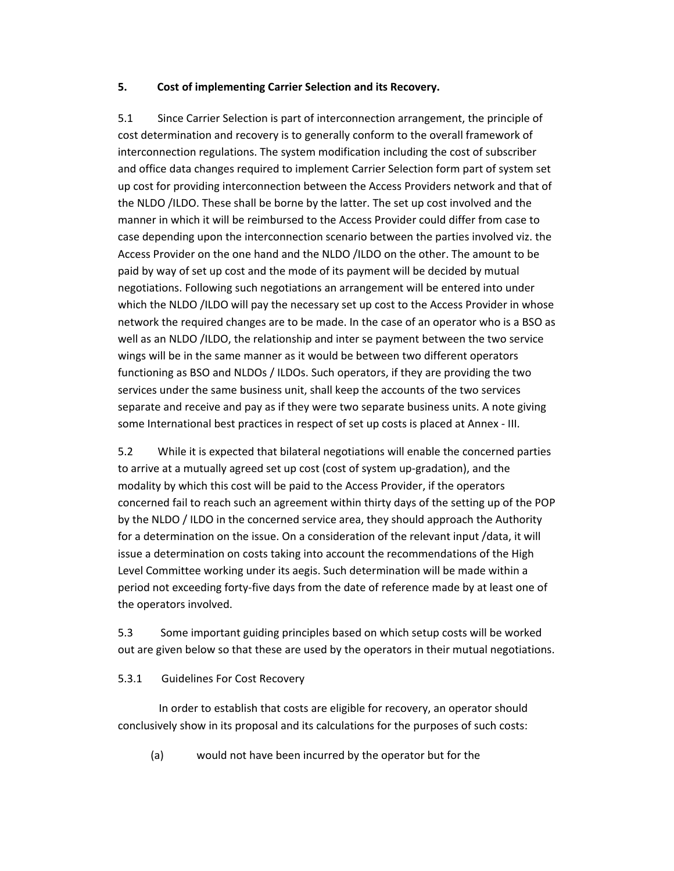# **5. Cost of implementing Carrier Selection and its Recovery.**

5.1 Since Carrier Selection is part of interconnection arrangement, the principle of cost determination and recovery is to generally conform to the overall framework of interconnection regulations. The system modification including the cost of subscriber and office data changes required to implement Carrier Selection form part of system set up cost for providing interconnection between the Access Providers network and that of the NLDO /ILDO. These shall be borne by the latter. The set up cost involved and the manner in which it will be reimbursed to the Access Provider could differ from case to case depending upon the interconnection scenario between the parties involved viz. the Access Provider on the one hand and the NLDO /ILDO on the other. The amount to be paid by way of set up cost and the mode of its payment will be decided by mutual negotiations. Following such negotiations an arrangement will be entered into under which the NLDO /ILDO will pay the necessary set up cost to the Access Provider in whose network the required changes are to be made. In the case of an operator who is a BSO as well as an NLDO /ILDO, the relationship and inter se payment between the two service wings will be in the same manner as it would be between two different operators functioning as BSO and NLDOs / ILDOs. Such operators, if they are providing the two services under the same business unit, shall keep the accounts of the two services separate and receive and pay as if they were two separate business units. A note giving some International best practices in respect of set up costs is placed at Annex ‐ III.

5.2 While it is expected that bilateral negotiations will enable the concerned parties to arrive at a mutually agreed set up cost (cost of system up‐gradation), and the modality by which this cost will be paid to the Access Provider, if the operators concerned fail to reach such an agreement within thirty days of the setting up of the POP by the NLDO / ILDO in the concerned service area, they should approach the Authority for a determination on the issue. On a consideration of the relevant input /data, it will issue a determination on costs taking into account the recommendations of the High Level Committee working under its aegis. Such determination will be made within a period not exceeding forty‐five days from the date of reference made by at least one of the operators involved.

5.3 Some important guiding principles based on which setup costs will be worked out are given below so that these are used by the operators in their mutual negotiations.

# 5.3.1Guidelines For Cost Recovery

In order to establish that costs are eligible for recovery, an operator should conclusively show in its proposal and its calculations for the purposes of such costs:

(a) would not have been incurred by the operator but for the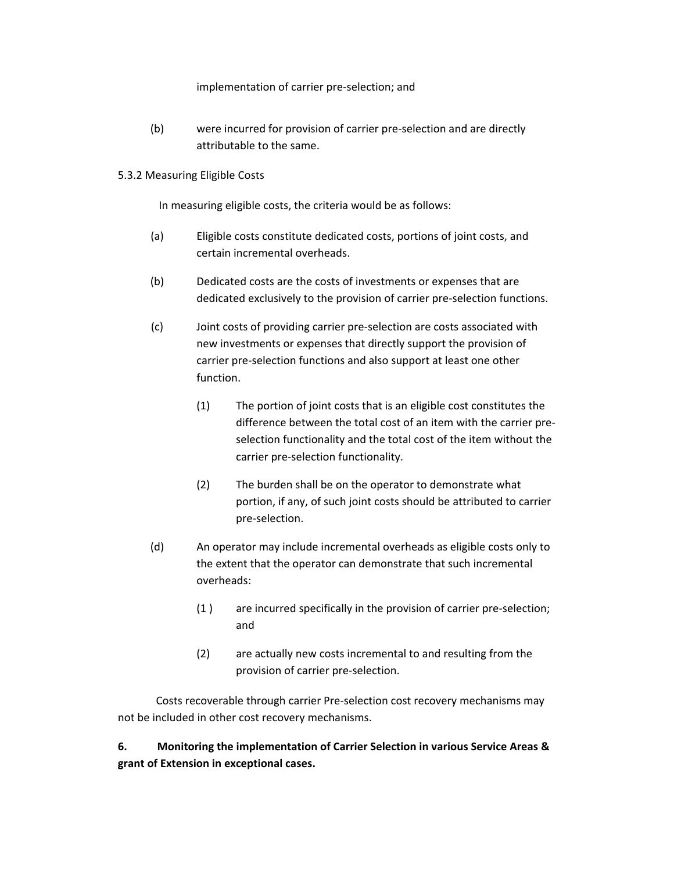### implementation of carrier pre‐selection; and

(b) were incurred for provision of carrier pre‐selection and are directly attributable to the same.

# 5.3.2 Measuring Eligible Costs

 In measuring eligible costs, the criteria would be as follows:

- (a) Eligible costs constitute dedicated costs, portions of joint costs, and certain incremental overheads.
- (b) Dedicated costs are the costs of investments or expenses that are dedicated exclusively to the provision of carrier pre‐selection functions.
- (c) Joint costs of providing carrier pre‐selection are costs associated with new investments or expenses that directly support the provision of carrier pre‐selection functions and also support at least one other function.
	- (1) The portion of joint costs that is an eligible cost constitutes the difference between the total cost of an item with the carrier pre‐ selection functionality and the total cost of the item without the carrier pre‐selection functionality.
	- (2) The burden shall be on the operator to demonstrate what portion, if any, of such joint costs should be attributed to carrier pre‐selection.
- (d) An operator may include incremental overheads as eligible costs only to the extent that the operator can demonstrate that such incremental overheads:
	- (1 ) are incurred specifically in the provision of carrier pre‐selection; and
	- (2) are actually new costs incremental to and resulting from the provision of carrier pre‐selection.

 Costs recoverable through carrier Pre‐selection cost recovery mechanisms may not be included in other cost recovery mechanisms.

**6. Monitoring the implementation of Carrier Selection in various Service Areas & grant of Extension in exceptional cases.**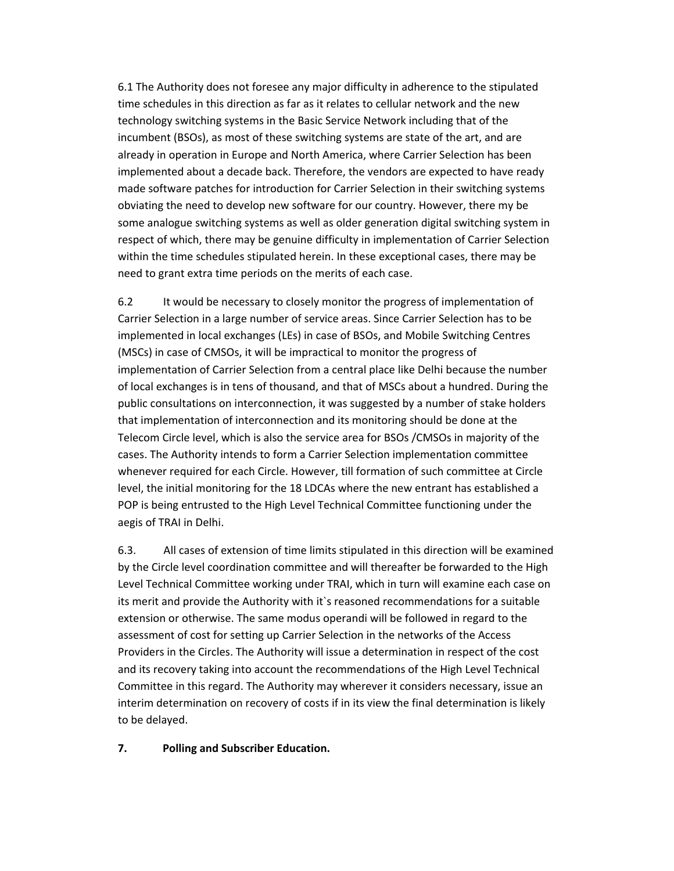6.1 The Authority does not foresee any major difficulty in adherence to the stipulated time schedules in this direction as far as it relates to cellular network and the new technology switching systems in the Basic Service Network including that of the incumbent (BSOs), as most of these switching systems are state of the art, and are already in operation in Europe and North America, where Carrier Selection has been implemented about a decade back. Therefore, the vendors are expected to have ready made software patches for introduction for Carrier Selection in their switching systems obviating the need to develop new software for our country. However, there my be some analogue switching systems as well as older generation digital switching system in respect of which, there may be genuine difficulty in implementation of Carrier Selection within the time schedules stipulated herein. In these exceptional cases, there may be need to grant extra time periods on the merits of each case.

6.2 It would be necessary to closely monitor the progress of implementation of Carrier Selection in a large number of service areas. Since Carrier Selection has to be implemented in local exchanges (LEs) in case of BSOs, and Mobile Switching Centres (MSCs) in case of CMSOs, it will be impractical to monitor the progress of implementation of Carrier Selection from a central place like Delhi because the number of local exchanges is in tens of thousand, and that of MSCs about a hundred. During the public consultations on interconnection, it was suggested by a number of stake holders that implementation of interconnection and its monitoring should be done at the Telecom Circle level, which is also the service area for BSOs /CMSOs in majority of the cases. The Authority intends to form a Carrier Selection implementation committee whenever required for each Circle. However, till formation of such committee at Circle level, the initial monitoring for the 18 LDCAs where the new entrant has established a POP is being entrusted to the High Level Technical Committee functioning under the aegis of TRAI in Delhi.

6.3. All cases of extension of time limits stipulated in this direction will be examined by the Circle level coordination committee and will thereafter be forwarded to the High Level Technical Committee working under TRAI, which in turn will examine each case on its merit and provide the Authority with it`s reasoned recommendations for a suitable extension or otherwise. The same modus operandi will be followed in regard to the assessment of cost for setting up Carrier Selection in the networks of the Access Providers in the Circles. The Authority will issue a determination in respect of the cost and its recovery taking into account the recommendations of the High Level Technical Committee in this regard. The Authority may wherever it considers necessary, issue an interim determination on recovery of costs if in its view the final determination is likely to be delayed.

### **7. Polling and Subscriber Education.**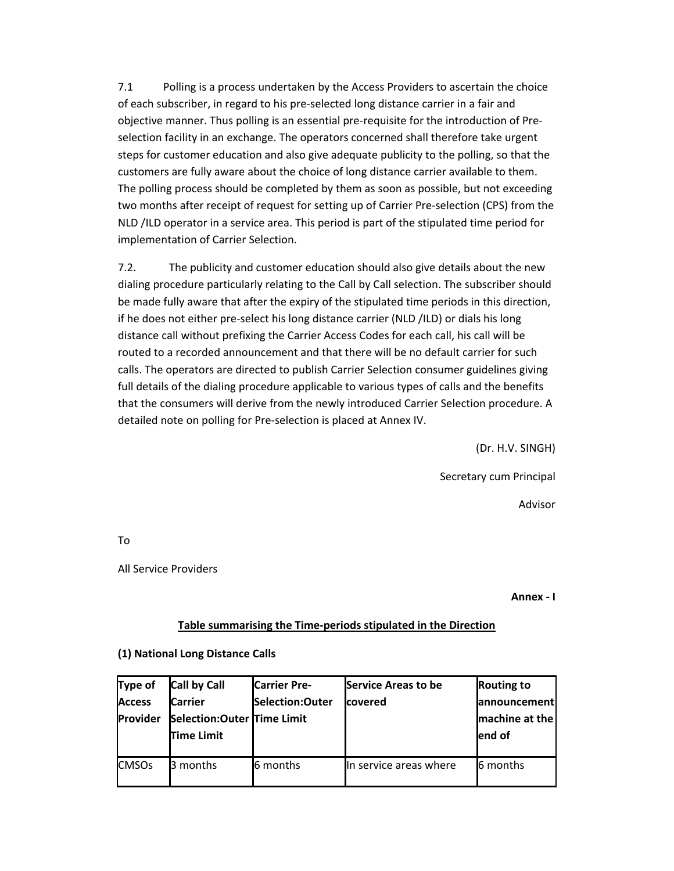7.1 Polling is a process undertaken by the Access Providers to ascertain the choice of each subscriber, in regard to his pre‐selected long distance carrier in a fair and objective manner. Thus polling is an essential pre‐requisite for the introduction of Pre‐ selection facility in an exchange. The operators concerned shall therefore take urgent steps for customer education and also give adequate publicity to the polling, so that the customers are fully aware about the choice of long distance carrier available to them. The polling process should be completed by them as soon as possible, but not exceeding two months after receipt of request for setting up of Carrier Pre‐selection (CPS) from the NLD /ILD operator in a service area. This period is part of the stipulated time period for implementation of Carrier Selection.

7.2. The publicity and customer education should also give details about the new dialing procedure particularly relating to the Call by Call selection. The subscriber should be made fully aware that after the expiry of the stipulated time periods in this direction, if he does not either pre‐select his long distance carrier (NLD /ILD) or dials his long distance call without prefixing the Carrier Access Codes for each call, his call will be routed to a recorded announcement and that there will be no default carrier for such calls. The operators are directed to publish Carrier Selection consumer guidelines giving full details of the dialing procedure applicable to various types of calls and the benefits that the consumers will derive from the newly introduced Carrier Selection procedure. A detailed note on polling for Pre‐selection is placed at Annex IV.

(Dr. H.V. SINGH)

Secretary cum Principal

Advisor

To

All Service Providers

**Annex ‐ I**

# **Table summarising the Time‐periods stipulated in the Direction**

# **(1) National Long Distance Calls**

| Type of                 | <b>Call by Call</b>         | <b>Carrier Pre-</b> | <b>Service Areas to be</b> | <b>Routing to</b> |
|-------------------------|-----------------------------|---------------------|----------------------------|-------------------|
| <b>Access</b>           | <b>Carrier</b>              | Selection:Outer     | <b>Icovered</b>            | announcement      |
| <b>Provider</b>         | Selection: Outer Time Limit |                     |                            | machine at the    |
|                         | <b>Time Limit</b>           |                     |                            | lend of           |
|                         |                             |                     |                            |                   |
| <b>CMSO<sub>s</sub></b> | 3 months                    | 6 months            | In service areas where     | <b>6</b> months   |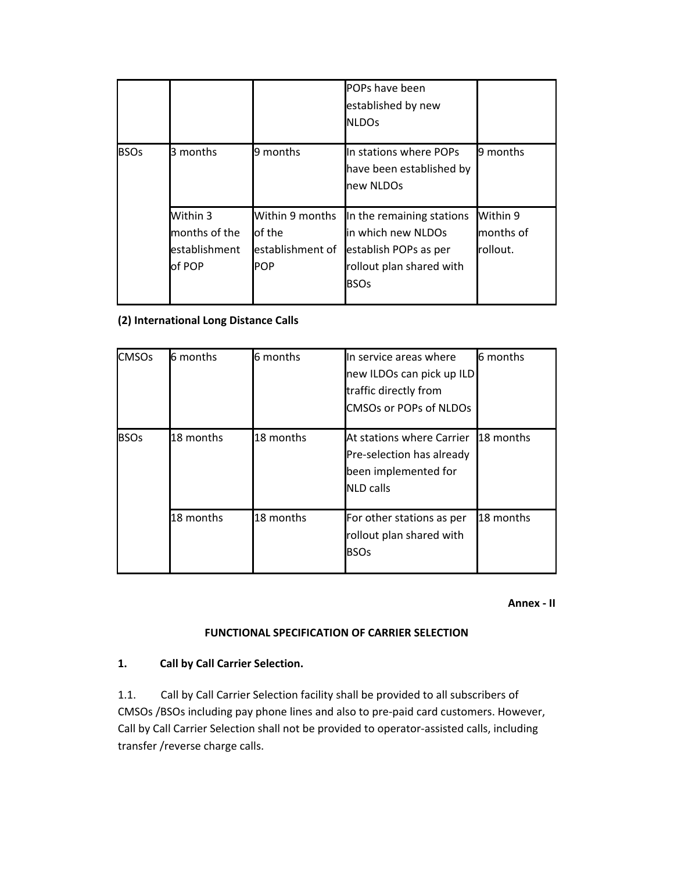|             |                                                      |                                                             | POPs have been<br>established by new<br><b>NLDOs</b>                                                                 |                                   |
|-------------|------------------------------------------------------|-------------------------------------------------------------|----------------------------------------------------------------------------------------------------------------------|-----------------------------------|
| <b>BSOs</b> | 3 months                                             | 9 months                                                    | In stations where POPs<br>have been established by<br>new NLDOs                                                      | 9 months                          |
|             | Within 3<br>months of the<br>establishment<br>of POP | Within 9 months<br>of the<br>establishment of<br><b>POP</b> | In the remaining stations<br>lin which new NLDOs<br>establish POPs as per<br>rollout plan shared with<br><b>BSOs</b> | Within 9<br>months of<br>rollout. |

# **(2) International Long Distance Calls**

| <b>CMSO<sub>S</sub></b> | 6 months  | 6 months  | In service areas where<br>new ILDOs can pick up ILD<br>traffic directly from<br>CMSOs or POPs of NLDOs | 6 months  |
|-------------------------|-----------|-----------|--------------------------------------------------------------------------------------------------------|-----------|
| <b>BSOs</b>             | 18 months | 18 months | At stations where Carrier<br>Pre-selection has already<br>been implemented for<br><b>NLD</b> calls     | 18 months |
|                         | 18 months | 18 months | For other stations as per<br>rollout plan shared with<br><b>BSOs</b>                                   | 18 months |

### **Annex ‐ II**

# **FUNCTIONAL SPECIFICATION OF CARRIER SELECTION**

# **1. Call by Call Carrier Selection.**

1.1. Call by Call Carrier Selection facility shall be provided to all subscribers of CMSOs /BSOs including pay phone lines and also to pre‐paid card customers. However, Call by Call Carrier Selection shall not be provided to operator‐assisted calls, including transfer /reverse charge calls.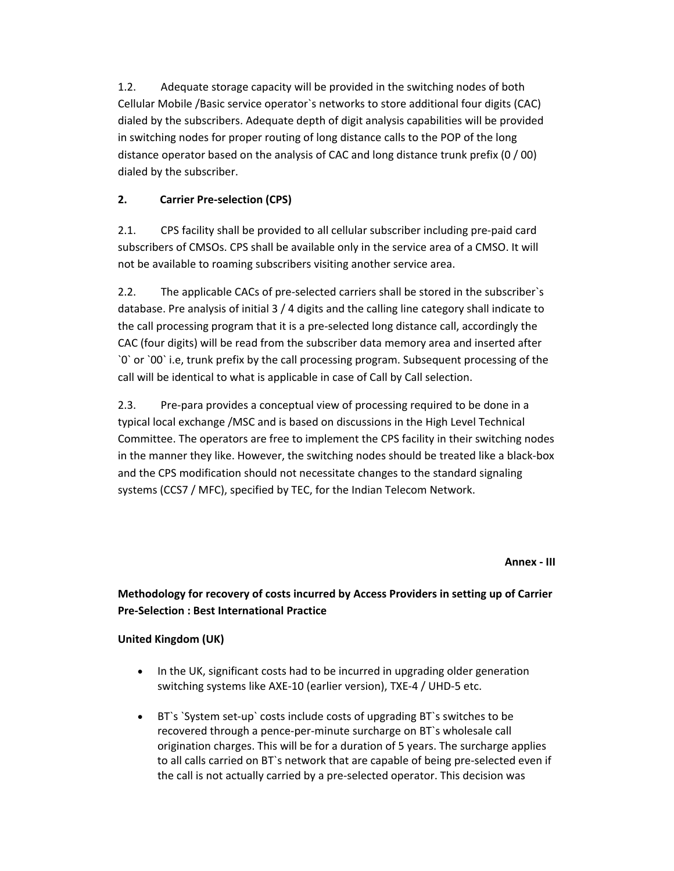1.2. Adequate storage capacity will be provided in the switching nodes of both Cellular Mobile /Basic service operator`s networks to store additional four digits (CAC) dialed by the subscribers. Adequate depth of digit analysis capabilities will be provided in switching nodes for proper routing of long distance calls to the POP of the long distance operator based on the analysis of CAC and long distance trunk prefix (0 / 00) dialed by the subscriber.

# **2. Carrier Pre‐selection (CPS)**

2.1. CPS facility shall be provided to all cellular subscriber including pre‐paid card subscribers of CMSOs. CPS shall be available only in the service area of a CMSO. It will not be available to roaming subscribers visiting another service area.

2.2. The applicable CACs of pre‐selected carriers shall be stored in the subscriber`s database. Pre analysis of initial 3 / 4 digits and the calling line category shall indicate to the call processing program that it is a pre‐selected long distance call, accordingly the CAC (four digits) will be read from the subscriber data memory area and inserted after `0` or `00` i.e, trunk prefix by the call processing program. Subsequent processing of the call will be identical to what is applicable in case of Call by Call selection.

2.3. Pre‐para provides a conceptual view of processing required to be done in a typical local exchange /MSC and is based on discussions in the High Level Technical Committee. The operators are free to implement the CPS facility in their switching nodes in the manner they like. However, the switching nodes should be treated like a black-box and the CPS modification should not necessitate changes to the standard signaling systems (CCS7 / MFC), specified by TEC, for the Indian Telecom Network.

**Annex ‐ III**

# **Methodology for recovery of costs incurred by Access Providers in setting up of Carrier Pre‐Selection : Best International Practice**

# **United Kingdom (UK)**

- In the UK, significant costs had to be incurred in upgrading older generation switching systems like AXE‐10 (earlier version), TXE‐4 / UHD‐5 etc.
- BT`s `System set‐up` costs include costs of upgrading BT`s switches to be recovered through a pence‐per‐minute surcharge on BT`s wholesale call origination charges. This will be for a duration of 5 years. The surcharge applies to all calls carried on BT`s network that are capable of being pre‐selected even if the call is not actually carried by a pre‐selected operator. This decision was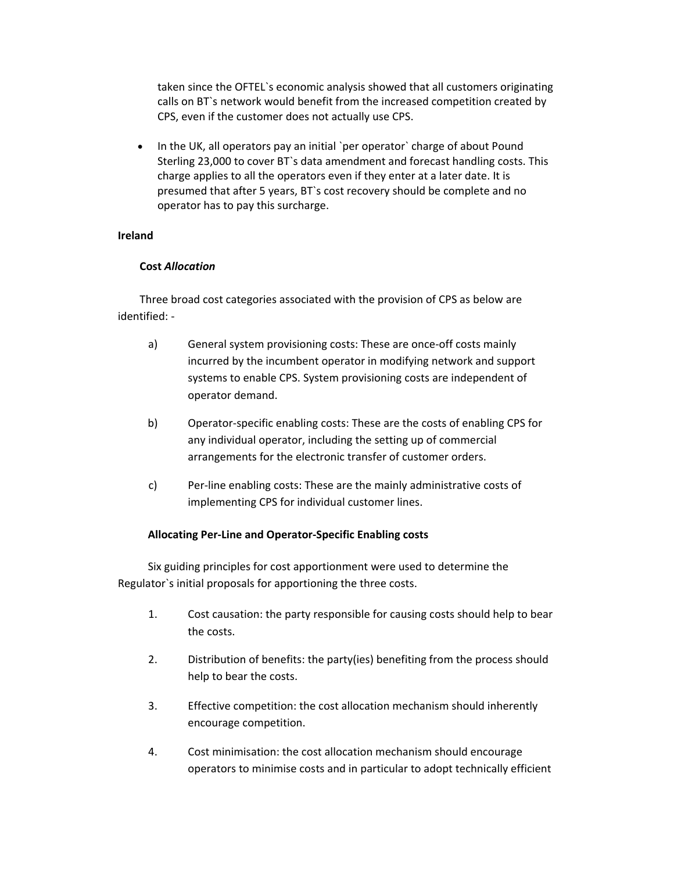taken since the OFTEL`s economic analysis showed that all customers originating calls on BT`s network would benefit from the increased competition created by CPS, even if the customer does not actually use CPS.

• In the UK, all operators pay an initial `per operator` charge of about Pound Sterling 23,000 to cover BT`s data amendment and forecast handling costs. This charge applies to all the operators even if they enter at a later date. It is presumed that after 5 years, BT`s cost recovery should be complete and no operator has to pay this surcharge.

### **Ireland**

### **Cost** *Allocation*

Three broad cost categories associated with the provision of CPS as below are identified: ‐

- a) General system provisioning costs: These are once-off costs mainly incurred by the incumbent operator in modifying network and support systems to enable CPS. System provisioning costs are independent of operator demand.
- b) Operator‐specific enabling costs: These are the costs of enabling CPS for any individual operator, including the setting up of commercial arrangements for the electronic transfer of customer orders.
- c) Per‐line enabling costs: These are the mainly administrative costs of implementing CPS for individual customer lines.

# **Allocating Per‐Line and Operator‐Specific Enabling costs**

 Six guiding principles for cost apportionment were used to determine the Regulator`s initial proposals for apportioning the three costs.

- 1. Cost causation: the party responsible for causing costs should help to bear the costs.
- 2. Distribution of benefits: the party(ies) benefiting from the process should help to bear the costs.
- 3. Effective competition: the cost allocation mechanism should inherently encourage competition.
- 4. Cost minimisation: the cost allocation mechanism should encourage operators to minimise costs and in particular to adopt technically efficient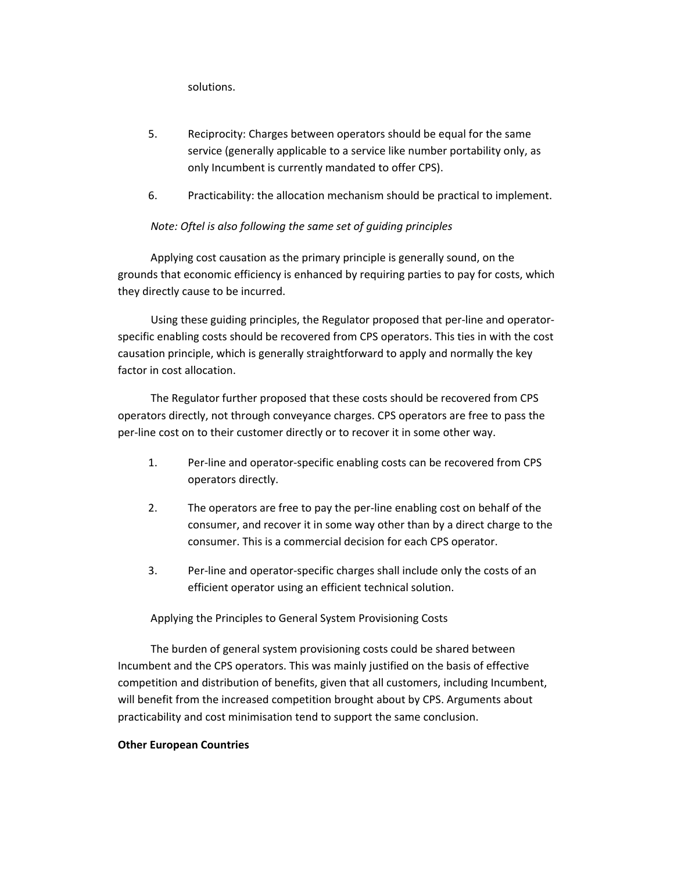solutions.

- 5. Reciprocity: Charges between operators should be equal for the same service (generally applicable to a service like number portability only, as only Incumbent is currently mandated to offer CPS).
- 6. Practicability: the allocation mechanism should be practical to implement.

# *Note: Oftel is also following the same set of guiding principles*

 Applying cost causation as the primary principle is generally sound, on the grounds that economic efficiency is enhanced by requiring parties to pay for costs, which they directly cause to be incurred.

Using these guiding principles, the Regulator proposed that per-line and operatorspecific enabling costs should be recovered from CPS operators. This ties in with the cost causation principle, which is generally straightforward to apply and normally the key factor in cost allocation.

 The Regulator further proposed that these costs should be recovered from CPS operators directly, not through conveyance charges. CPS operators are free to pass the per‐line cost on to their customer directly or to recover it in some other way.

- 1. Per-line and operator-specific enabling costs can be recovered from CPS operators directly.
- 2. The operators are free to pay the per-line enabling cost on behalf of the consumer, and recover it in some way other than by a direct charge to the consumer. This is a commercial decision for each CPS operator.
- 3. Per‐line and operator‐specific charges shall include only the costs of an efficient operator using an efficient technical solution.

# Applying the Principles to General System Provisioning Costs

 The burden of general system provisioning costs could be shared between Incumbent and the CPS operators. This was mainly justified on the basis of effective competition and distribution of benefits, given that all customers, including Incumbent, will benefit from the increased competition brought about by CPS. Arguments about practicability and cost minimisation tend to support the same conclusion.

### **Other European Countries**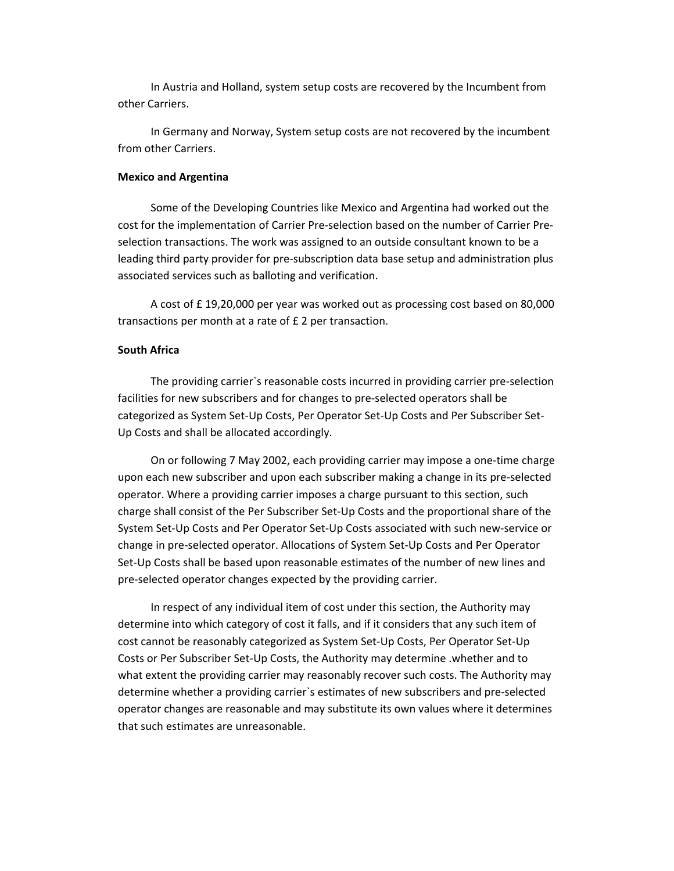In Austria and Holland, system setup costs are recovered by the Incumbent from other Carriers.

 In Germany and Norway, System setup costs are not recovered by the incumbent from other Carriers.

### **Mexico and Argentina**

 Some of the Developing Countries like Mexico and Argentina had worked out the cost for the implementation of Carrier Pre‐selection based on the number of Carrier Pre‐ selection transactions. The work was assigned to an outside consultant known to be a leading third party provider for pre‐subscription data base setup and administration plus associated services such as balloting and verification.

 A cost of £ 19,20,000 per year was worked out as processing cost based on 80,000 transactions per month at a rate of £ 2 per transaction.

### **South Africa**

The providing carrier's reasonable costs incurred in providing carrier pre-selection facilities for new subscribers and for changes to pre‐selected operators shall be categorized as System Set‐Up Costs, Per Operator Set‐Up Costs and Per Subscriber Set‐ Up Costs and shall be allocated accordingly.

 On or following 7 May 2002, each providing carrier may impose a one‐time charge upon each new subscriber and upon each subscriber making a change in its pre‐selected operator. Where a providing carrier imposes a charge pursuant to this section, such charge shall consist of the Per Subscriber Set‐Up Costs and the proportional share of the System Set‐Up Costs and Per Operator Set‐Up Costs associated with such new‐service or change in pre‐selected operator. Allocations of System Set‐Up Costs and Per Operator Set‐Up Costs shall be based upon reasonable estimates of the number of new lines and pre‐selected operator changes expected by the providing carrier.

 In respect of any individual item of cost under this section, the Authority may determine into which category of cost it falls, and if it considers that any such item of cost cannot be reasonably categorized as System Set‐Up Costs, Per Operator Set‐Up Costs or Per Subscriber Set‐Up Costs, the Authority may determine .whether and to what extent the providing carrier may reasonably recover such costs. The Authority may determine whether a providing carrier`s estimates of new subscribers and pre‐selected operator changes are reasonable and may substitute its own values where it determines that such estimates are unreasonable.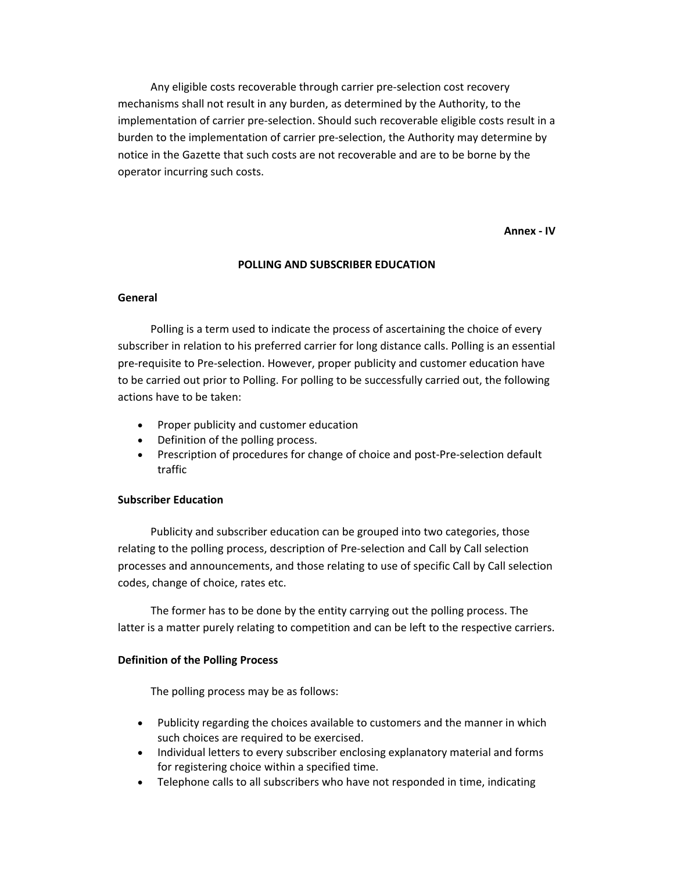Any eligible costs recoverable through carrier pre‐selection cost recovery mechanisms shall not result in any burden, as determined by the Authority, to the implementation of carrier pre‐selection. Should such recoverable eligible costs result in a burden to the implementation of carrier pre‐selection, the Authority may determine by notice in the Gazette that such costs are not recoverable and are to be borne by the operator incurring such costs.

**Annex ‐ IV**

### **POLLING AND SUBSCRIBER EDUCATION**

### **General**

Polling is a term used to indicate the process of ascertaining the choice of every subscriber in relation to his preferred carrier for long distance calls. Polling is an essential pre‐requisite to Pre‐selection. However, proper publicity and customer education have to be carried out prior to Polling. For polling to be successfully carried out, the following actions have to be taken:

- Proper publicity and customer education
- Definition of the polling process.
- Prescription of procedures for change of choice and post-Pre-selection default traffic

### **Subscriber Education**

Publicity and subscriber education can be grouped into two categories, those relating to the polling process, description of Pre‐selection and Call by Call selection processes and announcements, and those relating to use of specific Call by Call selection codes, change of choice, rates etc.

The former has to be done by the entity carrying out the polling process. The latter is a matter purely relating to competition and can be left to the respective carriers.

### **Definition of the Polling Process**

The polling process may be as follows:

- Publicity regarding the choices available to customers and the manner in which such choices are required to be exercised.
- Individual letters to every subscriber enclosing explanatory material and forms for registering choice within a specified time.
- Telephone calls to all subscribers who have not responded in time, indicating